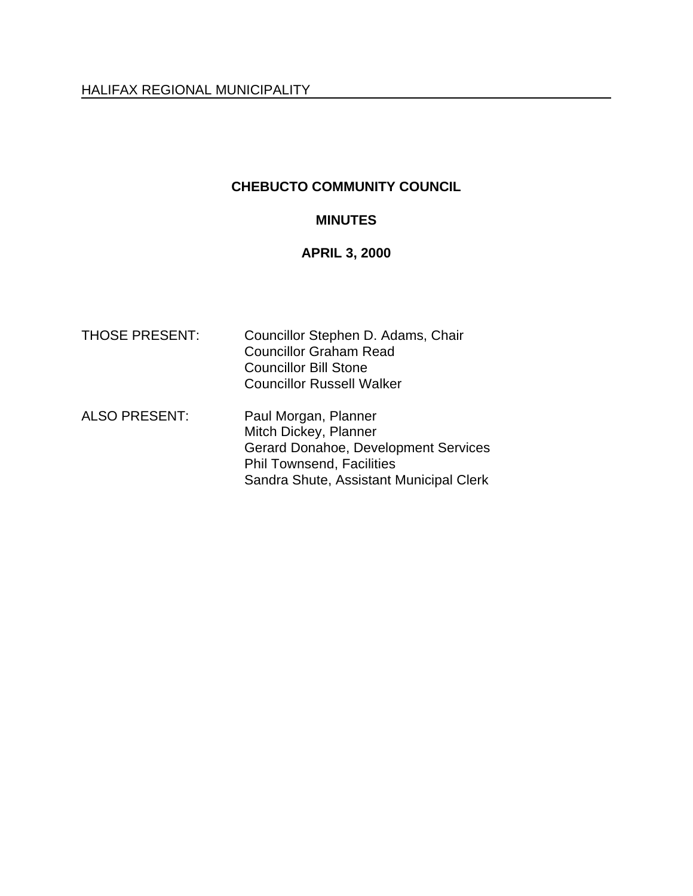## **CHEBUCTO COMMUNITY COUNCIL**

## **MINUTES**

## **APRIL 3, 2000**

| <b>THOSE PRESENT:</b> | Councillor Stephen D. Adams, Chair<br><b>Councillor Graham Read</b><br><b>Councillor Bill Stone</b><br><b>Councillor Russell Walker</b>                                     |
|-----------------------|-----------------------------------------------------------------------------------------------------------------------------------------------------------------------------|
| <b>ALSO PRESENT:</b>  | Paul Morgan, Planner<br>Mitch Dickey, Planner<br><b>Gerard Donahoe, Development Services</b><br><b>Phil Townsend, Facilities</b><br>Sandra Shute, Assistant Municipal Clerk |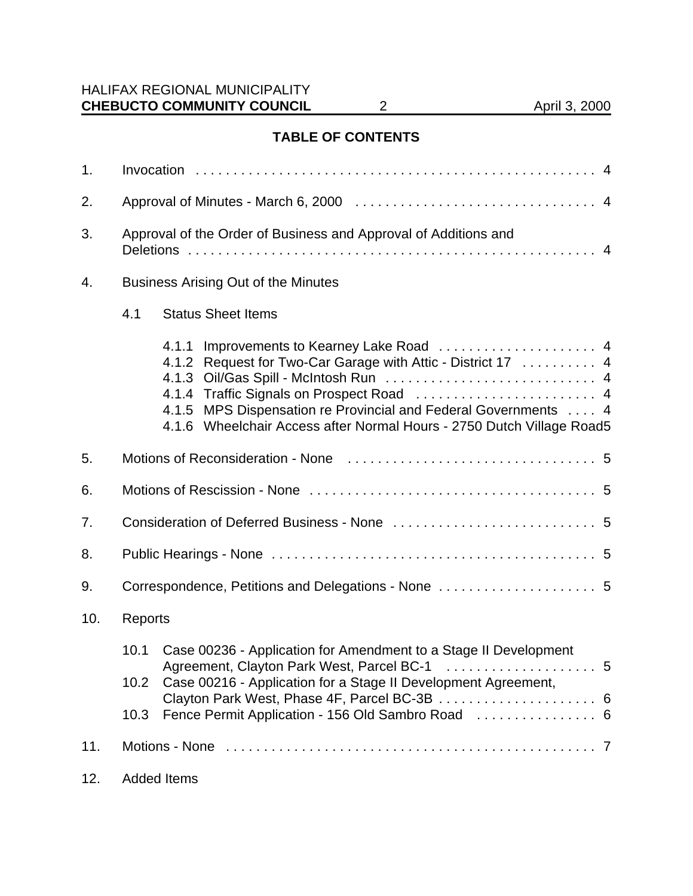# **TABLE OF CONTENTS**

| 1.             |                                                     |                                                                                                                                                                                                                            |  |
|----------------|-----------------------------------------------------|----------------------------------------------------------------------------------------------------------------------------------------------------------------------------------------------------------------------------|--|
| 2.             |                                                     |                                                                                                                                                                                                                            |  |
| 3.             |                                                     | Approval of the Order of Business and Approval of Additions and                                                                                                                                                            |  |
| 4.             | <b>Business Arising Out of the Minutes</b>          |                                                                                                                                                                                                                            |  |
|                | 4.1                                                 | <b>Status Sheet Items</b>                                                                                                                                                                                                  |  |
|                |                                                     | 4.1.1<br>4.1.2 Request for Two-Car Garage with Attic - District 17  4<br>4.1.3<br>4.1.5 MPS Dispensation re Provincial and Federal Governments  4<br>4.1.6 Wheelchair Access after Normal Hours - 2750 Dutch Village Road5 |  |
| 5.             |                                                     |                                                                                                                                                                                                                            |  |
| 6.             |                                                     |                                                                                                                                                                                                                            |  |
| 7.             |                                                     |                                                                                                                                                                                                                            |  |
| 8.             |                                                     |                                                                                                                                                                                                                            |  |
| 9.             | Correspondence, Petitions and Delegations - None  5 |                                                                                                                                                                                                                            |  |
| 10.<br>Reports |                                                     |                                                                                                                                                                                                                            |  |
|                | 10.1                                                | Case 00236 - Application for Amendment to a Stage II Development                                                                                                                                                           |  |
|                | 10.2                                                | Case 00216 - Application for a Stage II Development Agreement,                                                                                                                                                             |  |
|                | 10.3                                                | Fence Permit Application - 156 Old Sambro Road  6                                                                                                                                                                          |  |
| 11.            |                                                     |                                                                                                                                                                                                                            |  |
| 12.            |                                                     | <b>Added Items</b>                                                                                                                                                                                                         |  |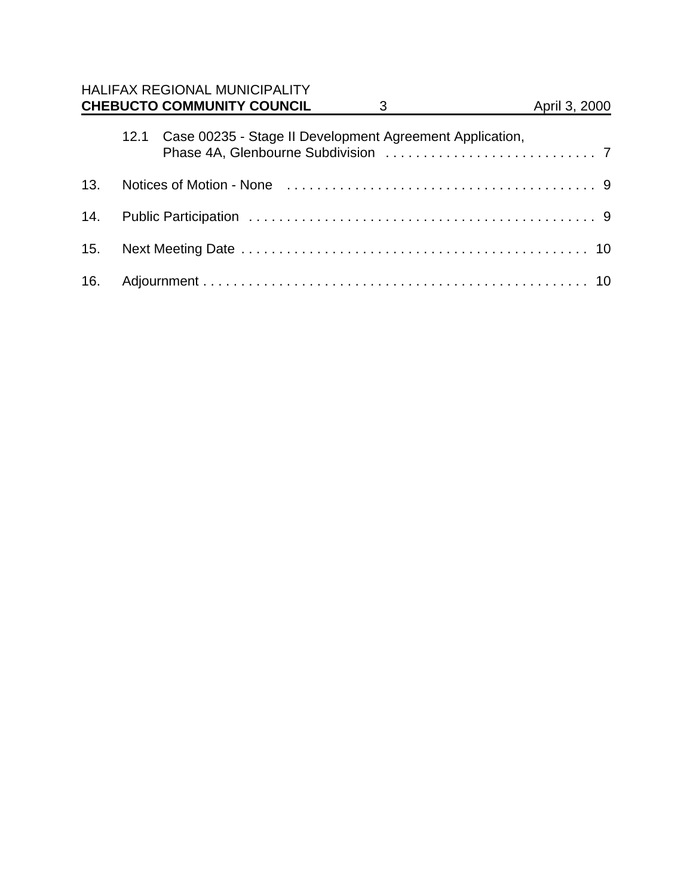|     |      | <b>HALIFAX REGIONAL MUNICIPALITY</b><br><b>CHEBUCTO COMMUNITY COUNCIL</b> | 3 | April 3, 2000 |
|-----|------|---------------------------------------------------------------------------|---|---------------|
|     | 12.1 | Case 00235 - Stage II Development Agreement Application,                  |   |               |
| 13. |      |                                                                           |   |               |
| 14. |      |                                                                           |   |               |
| 15. |      |                                                                           |   |               |
| 16. |      |                                                                           |   |               |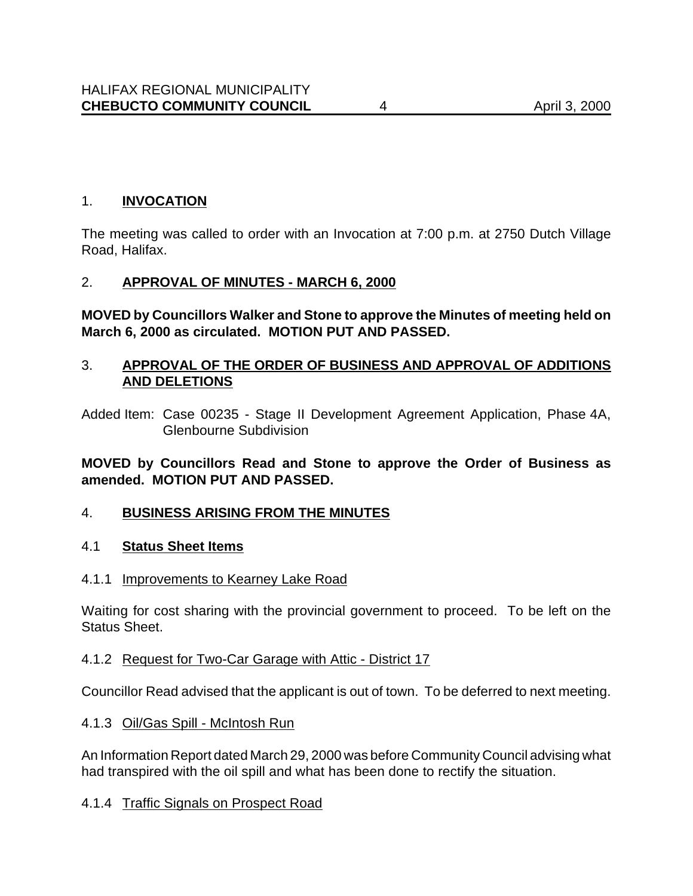### 1. **INVOCATION**

The meeting was called to order with an Invocation at 7:00 p.m. at 2750 Dutch Village Road, Halifax.

#### 2. **APPROVAL OF MINUTES - MARCH 6, 2000**

**MOVED by Councillors Walker and Stone to approve the Minutes of meeting held on March 6, 2000 as circulated. MOTION PUT AND PASSED.**

## 3. **APPROVAL OF THE ORDER OF BUSINESS AND APPROVAL OF ADDITIONS AND DELETIONS**

Added Item: Case 00235 - Stage II Development Agreement Application, Phase 4A, Glenbourne Subdivision

#### **MOVED by Councillors Read and Stone to approve the Order of Business as amended. MOTION PUT AND PASSED.**

## 4. **BUSINESS ARISING FROM THE MINUTES**

#### 4.1 **Status Sheet Items**

#### 4.1.1 Improvements to Kearney Lake Road

Waiting for cost sharing with the provincial government to proceed. To be left on the Status Sheet.

#### 4.1.2 Request for Two-Car Garage with Attic - District 17

Councillor Read advised that the applicant is out of town. To be deferred to next meeting.

#### 4.1.3 Oil/Gas Spill - McIntosh Run

An Information Report dated March 29, 2000 was before Community Council advising what had transpired with the oil spill and what has been done to rectify the situation.

#### 4.1.4 Traffic Signals on Prospect Road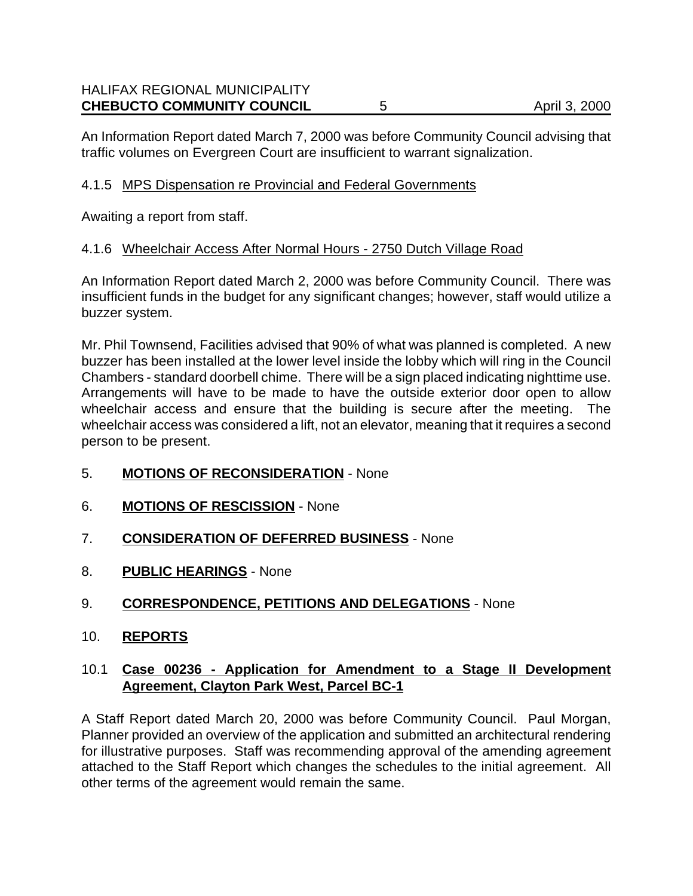An Information Report dated March 7, 2000 was before Community Council advising that traffic volumes on Evergreen Court are insufficient to warrant signalization.

## 4.1.5 MPS Dispensation re Provincial and Federal Governments

Awaiting a report from staff.

#### 4.1.6 Wheelchair Access After Normal Hours - 2750 Dutch Village Road

An Information Report dated March 2, 2000 was before Community Council. There was insufficient funds in the budget for any significant changes; however, staff would utilize a buzzer system.

Mr. Phil Townsend, Facilities advised that 90% of what was planned is completed. A new buzzer has been installed at the lower level inside the lobby which will ring in the Council Chambers - standard doorbell chime. There will be a sign placed indicating nighttime use. Arrangements will have to be made to have the outside exterior door open to allow wheelchair access and ensure that the building is secure after the meeting. The wheelchair access was considered a lift, not an elevator, meaning that it requires a second person to be present.

- 5. **MOTIONS OF RECONSIDERATION** None
- 6. **MOTIONS OF RESCISSION** None
- 7. **CONSIDERATION OF DEFERRED BUSINESS** None
- 8. **PUBLIC HEARINGS** None
- 9. **CORRESPONDENCE, PETITIONS AND DELEGATIONS** None
- 10. **REPORTS**

#### 10.1 **Case 00236 - Application for Amendment to a Stage II Development Agreement, Clayton Park West, Parcel BC-1**

A Staff Report dated March 20, 2000 was before Community Council. Paul Morgan, Planner provided an overview of the application and submitted an architectural rendering for illustrative purposes. Staff was recommending approval of the amending agreement attached to the Staff Report which changes the schedules to the initial agreement. All other terms of the agreement would remain the same.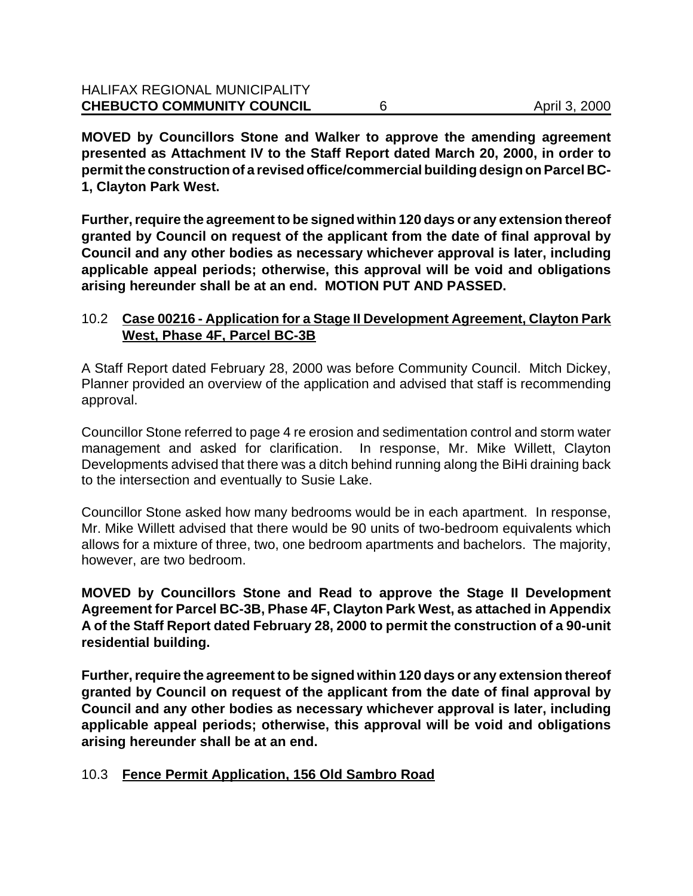**MOVED by Councillors Stone and Walker to approve the amending agreement presented as Attachment IV to the Staff Report dated March 20, 2000, in order to permit the construction of a revised office/commercial building design on Parcel BC-1, Clayton Park West.**

**Further, require the agreement to be signed within 120 days or any extension thereof granted by Council on request of the applicant from the date of final approval by Council and any other bodies as necessary whichever approval is later, including applicable appeal periods; otherwise, this approval will be void and obligations arising hereunder shall be at an end. MOTION PUT AND PASSED.**

## 10.2 **Case 00216 - Application for a Stage II Development Agreement, Clayton Park West, Phase 4F, Parcel BC-3B**

A Staff Report dated February 28, 2000 was before Community Council. Mitch Dickey, Planner provided an overview of the application and advised that staff is recommending approval.

Councillor Stone referred to page 4 re erosion and sedimentation control and storm water management and asked for clarification. In response, Mr. Mike Willett, Clayton Developments advised that there was a ditch behind running along the BiHi draining back to the intersection and eventually to Susie Lake.

Councillor Stone asked how many bedrooms would be in each apartment. In response, Mr. Mike Willett advised that there would be 90 units of two-bedroom equivalents which allows for a mixture of three, two, one bedroom apartments and bachelors. The majority, however, are two bedroom.

**MOVED by Councillors Stone and Read to approve the Stage II Development Agreement for Parcel BC-3B, Phase 4F, Clayton Park West, as attached in Appendix A of the Staff Report dated February 28, 2000 to permit the construction of a 90-unit residential building.**

**Further, require the agreement to be signed within 120 days or any extension thereof granted by Council on request of the applicant from the date of final approval by Council and any other bodies as necessary whichever approval is later, including applicable appeal periods; otherwise, this approval will be void and obligations arising hereunder shall be at an end.**

## 10.3 **Fence Permit Application, 156 Old Sambro Road**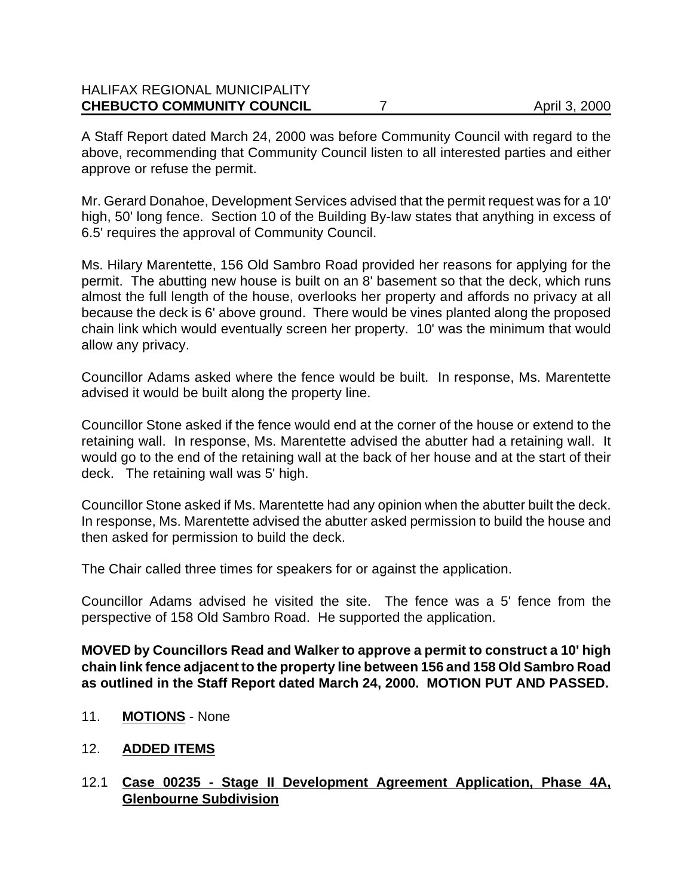| <b>HALIFAX REGIONAL MUNICIPALITY</b><br><b>CHEBUCTO COMMUNITY COUNCIL</b> | April 3, 2000 |
|---------------------------------------------------------------------------|---------------|
|                                                                           |               |

A Staff Report dated March 24, 2000 was before Community Council with regard to the above, recommending that Community Council listen to all interested parties and either approve or refuse the permit.

Mr. Gerard Donahoe, Development Services advised that the permit request was for a 10' high, 50' long fence. Section 10 of the Building By-law states that anything in excess of 6.5' requires the approval of Community Council.

Ms. Hilary Marentette, 156 Old Sambro Road provided her reasons for applying for the permit. The abutting new house is built on an 8' basement so that the deck, which runs almost the full length of the house, overlooks her property and affords no privacy at all because the deck is 6' above ground. There would be vines planted along the proposed chain link which would eventually screen her property. 10' was the minimum that would allow any privacy.

Councillor Adams asked where the fence would be built. In response, Ms. Marentette advised it would be built along the property line.

Councillor Stone asked if the fence would end at the corner of the house or extend to the retaining wall. In response, Ms. Marentette advised the abutter had a retaining wall. It would go to the end of the retaining wall at the back of her house and at the start of their deck. The retaining wall was 5' high.

Councillor Stone asked if Ms. Marentette had any opinion when the abutter built the deck. In response, Ms. Marentette advised the abutter asked permission to build the house and then asked for permission to build the deck.

The Chair called three times for speakers for or against the application.

Councillor Adams advised he visited the site. The fence was a 5' fence from the perspective of 158 Old Sambro Road. He supported the application.

**MOVED by Councillors Read and Walker to approve a permit to construct a 10' high chain link fence adjacent to the property line between 156 and 158 Old Sambro Road as outlined in the Staff Report dated March 24, 2000. MOTION PUT AND PASSED.**

- 11. **MOTIONS** None
- 12. **ADDED ITEMS**
- 12.1 **Case 00235 Stage II Development Agreement Application, Phase 4A, Glenbourne Subdivision**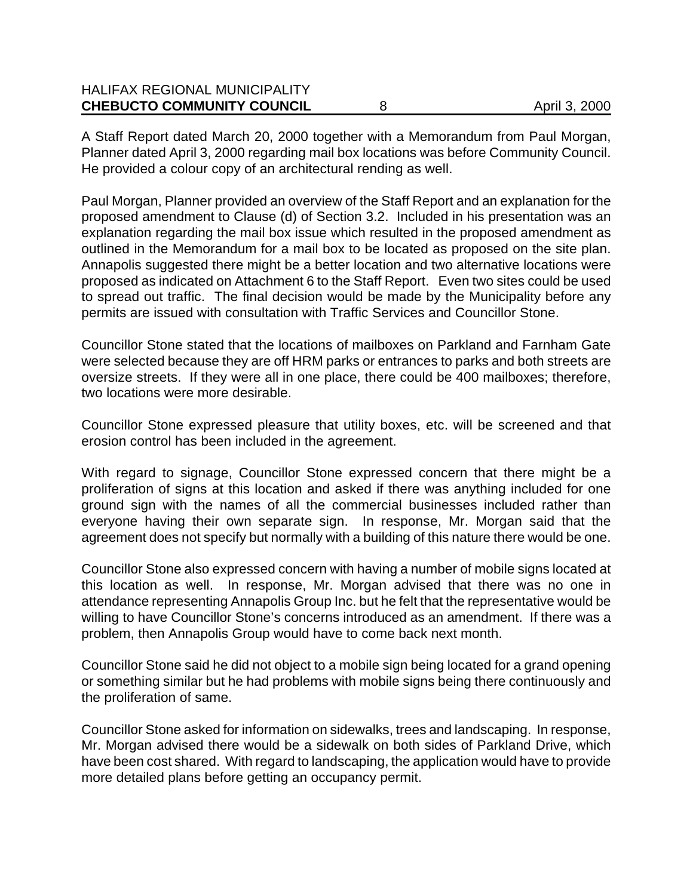| <b>HALIFAX REGIONAL MUNICIPALITY</b> |               |
|--------------------------------------|---------------|
| <b>CHEBUCTO COMMUNITY COUNCIL</b>    | April 3, 2000 |

A Staff Report dated March 20, 2000 together with a Memorandum from Paul Morgan, Planner dated April 3, 2000 regarding mail box locations was before Community Council. He provided a colour copy of an architectural rending as well.

Paul Morgan, Planner provided an overview of the Staff Report and an explanation for the proposed amendment to Clause (d) of Section 3.2. Included in his presentation was an explanation regarding the mail box issue which resulted in the proposed amendment as outlined in the Memorandum for a mail box to be located as proposed on the site plan. Annapolis suggested there might be a better location and two alternative locations were proposed as indicated on Attachment 6 to the Staff Report. Even two sites could be used to spread out traffic. The final decision would be made by the Municipality before any permits are issued with consultation with Traffic Services and Councillor Stone.

Councillor Stone stated that the locations of mailboxes on Parkland and Farnham Gate were selected because they are off HRM parks or entrances to parks and both streets are oversize streets. If they were all in one place, there could be 400 mailboxes; therefore, two locations were more desirable.

Councillor Stone expressed pleasure that utility boxes, etc. will be screened and that erosion control has been included in the agreement.

With regard to signage, Councillor Stone expressed concern that there might be a proliferation of signs at this location and asked if there was anything included for one ground sign with the names of all the commercial businesses included rather than everyone having their own separate sign. In response, Mr. Morgan said that the agreement does not specify but normally with a building of this nature there would be one.

Councillor Stone also expressed concern with having a number of mobile signs located at this location as well. In response, Mr. Morgan advised that there was no one in attendance representing Annapolis Group Inc. but he felt that the representative would be willing to have Councillor Stone's concerns introduced as an amendment. If there was a problem, then Annapolis Group would have to come back next month.

Councillor Stone said he did not object to a mobile sign being located for a grand opening or something similar but he had problems with mobile signs being there continuously and the proliferation of same.

Councillor Stone asked for information on sidewalks, trees and landscaping. In response, Mr. Morgan advised there would be a sidewalk on both sides of Parkland Drive, which have been cost shared. With regard to landscaping, the application would have to provide more detailed plans before getting an occupancy permit.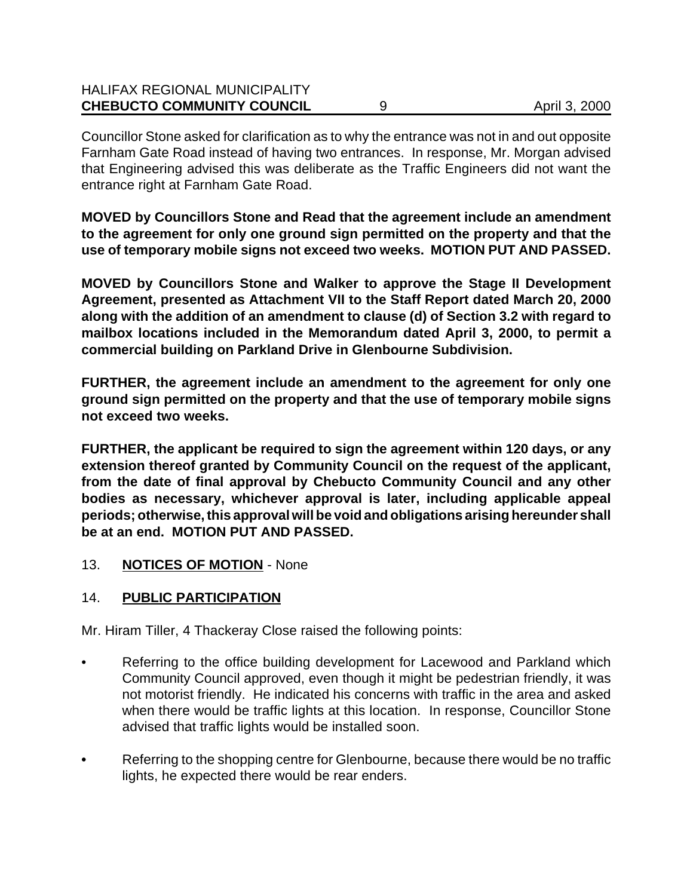| <b>CHEBUCTO COMMUNITY COUNCIL</b>    | April 3, 2000 |
|--------------------------------------|---------------|
| <b>HALIFAX REGIONAL MUNICIPALITY</b> |               |

Councillor Stone asked for clarification as to why the entrance was not in and out opposite Farnham Gate Road instead of having two entrances. In response, Mr. Morgan advised that Engineering advised this was deliberate as the Traffic Engineers did not want the entrance right at Farnham Gate Road.

**MOVED by Councillors Stone and Read that the agreement include an amendment to the agreement for only one ground sign permitted on the property and that the use of temporary mobile signs not exceed two weeks. MOTION PUT AND PASSED.**

**MOVED by Councillors Stone and Walker to approve the Stage II Development Agreement, presented as Attachment VII to the Staff Report dated March 20, 2000 along with the addition of an amendment to clause (d) of Section 3.2 with regard to mailbox locations included in the Memorandum dated April 3, 2000, to permit a commercial building on Parkland Drive in Glenbourne Subdivision.** 

**FURTHER, the agreement include an amendment to the agreement for only one ground sign permitted on the property and that the use of temporary mobile signs not exceed two weeks.**

**FURTHER, the applicant be required to sign the agreement within 120 days, or any extension thereof granted by Community Council on the request of the applicant, from the date of final approval by Chebucto Community Council and any other bodies as necessary, whichever approval is later, including applicable appeal periods; otherwise, this approval will be void and obligations arising hereunder shall be at an end. MOTION PUT AND PASSED.**

13. **NOTICES OF MOTION** - None

## 14. **PUBLIC PARTICIPATION**

Mr. Hiram Tiller, 4 Thackeray Close raised the following points:

- Referring to the office building development for Lacewood and Parkland which Community Council approved, even though it might be pedestrian friendly, it was not motorist friendly. He indicated his concerns with traffic in the area and asked when there would be traffic lights at this location. In response, Councillor Stone advised that traffic lights would be installed soon.
- **•** Referring to the shopping centre for Glenbourne, because there would be no traffic lights, he expected there would be rear enders.